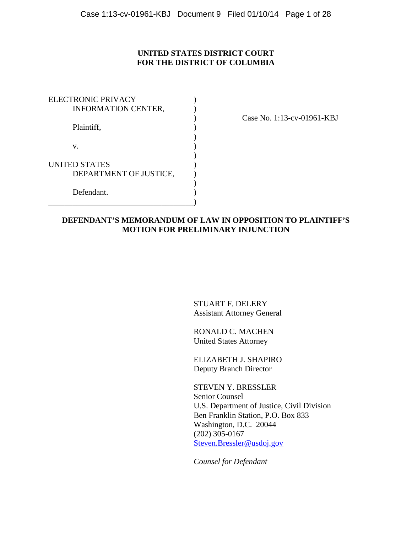## **UNITED STATES DISTRICT COURT FOR THE DISTRICT OF COLUMBIA**

| <b>ELECTRONIC PRIVACY</b>  |  |
|----------------------------|--|
| <b>INFORMATION CENTER,</b> |  |
|                            |  |
| Plaintiff,                 |  |
|                            |  |
| V.                         |  |
|                            |  |
| <b>UNITED STATES</b>       |  |
| DEPARTMENT OF JUSTICE,     |  |
|                            |  |
| Defendant.                 |  |
|                            |  |

) Case No. 1:13-cv-01961-KBJ

### **DEFENDANT'S MEMORANDUM OF LAW IN OPPOSITION TO PLAINTIFF'S MOTION FOR PRELIMINARY INJUNCTION**

 STUART F. DELERY Assistant Attorney General

 RONALD C. MACHEN United States Attorney

 ELIZABETH J. SHAPIRO Deputy Branch Director

 STEVEN Y. BRESSLER Senior Counsel U.S. Department of Justice, Civil Division Ben Franklin Station, P.O. Box 833 Washington, D.C. 20044 (202) 305-0167 Steven.Bressler@usdoj.gov

*Counsel for Defendant*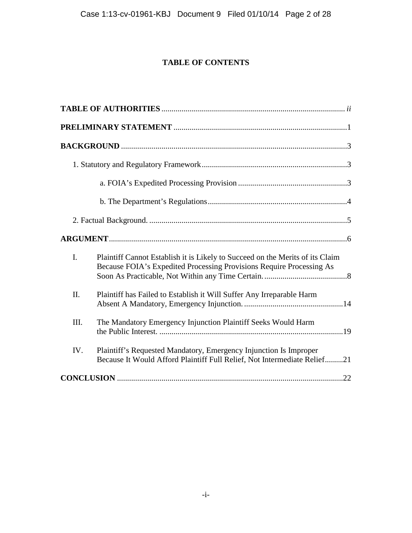# **TABLE OF CONTENTS**

| I.   | Plaintiff Cannot Establish it is Likely to Succeed on the Merits of its Claim<br>Because FOIA's Expedited Processing Provisions Require Processing As |
|------|-------------------------------------------------------------------------------------------------------------------------------------------------------|
| II.  | Plaintiff has Failed to Establish it Will Suffer Any Irreparable Harm                                                                                 |
| III. | The Mandatory Emergency Injunction Plaintiff Seeks Would Harm                                                                                         |
| IV.  | Plaintiff's Requested Mandatory, Emergency Injunction Is Improper<br>Because It Would Afford Plaintiff Full Relief, Not Intermediate Relief21         |
|      | .22                                                                                                                                                   |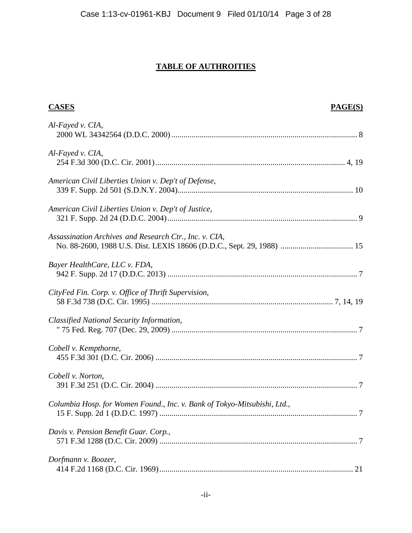# **TABLE OF AUTHROITIES**

| <b>CASES</b>                                                                                                                    | PAGE(S) |
|---------------------------------------------------------------------------------------------------------------------------------|---------|
| Al-Fayed v. CIA,                                                                                                                |         |
| Al-Fayed v. CIA,                                                                                                                |         |
| American Civil Liberties Union v. Dep't of Defense,                                                                             |         |
| American Civil Liberties Union v. Dep't of Justice,                                                                             |         |
| Assassination Archives and Research Ctr., Inc. v. CIA,<br>No. 88-2600, 1988 U.S. Dist. LEXIS 18606 (D.D.C., Sept. 29, 1988)  15 |         |
| Bayer HealthCare, LLC v. FDA,                                                                                                   |         |
| CityFed Fin. Corp. v. Office of Thrift Supervision,                                                                             |         |
| Classified National Security Information,                                                                                       |         |
| Cobell v. Kempthorne,                                                                                                           |         |
| Cobell v. Norton,                                                                                                               |         |
| Columbia Hosp. for Women Found., Inc. v. Bank of Tokyo-Mitsubishi, Ltd.,                                                        |         |
| Davis v. Pension Benefit Guar. Corp.,                                                                                           |         |
| Dorfmann v. Boozer,                                                                                                             |         |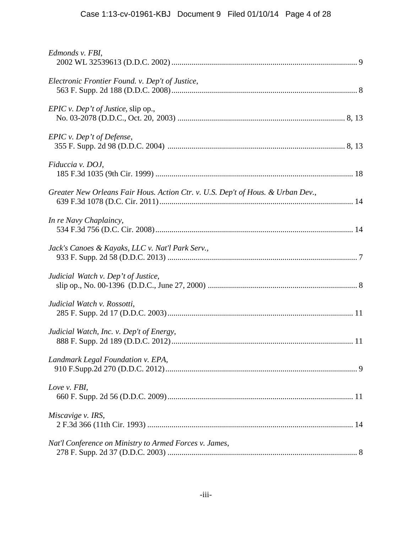| Edmonds v. FBI,                                                                 |
|---------------------------------------------------------------------------------|
| Electronic Frontier Found. v. Dep't of Justice,                                 |
| <i>EPIC</i> v. <i>Dep't of Justice</i> , slip op.,                              |
| EPIC v. Dep't of Defense,                                                       |
| Fiduccia v. DOJ,                                                                |
| Greater New Orleans Fair Hous. Action Ctr. v. U.S. Dep't of Hous. & Urban Dev., |
| In re Navy Chaplaincy,                                                          |
| Jack's Canoes & Kayaks, LLC v. Nat'l Park Serv.,                                |
| Judicial Watch v. Dep't of Justice,                                             |
| Judicial Watch v. Rossotti,                                                     |
| Judicial Watch, Inc. v. Dep't of Energy,                                        |
| Landmark Legal Foundation v. EPA,                                               |
| Love v. FBI,                                                                    |
| Miscavige v. IRS,                                                               |
| Nat'l Conference on Ministry to Armed Forces v. James,                          |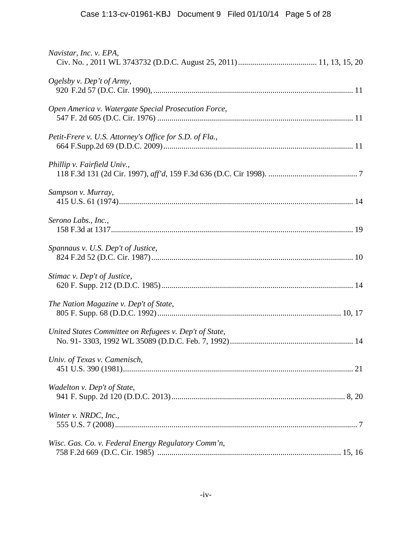| Navistar, Inc. v. EPA,                                  |
|---------------------------------------------------------|
| Ogelsby v. Dep't of Army,                               |
| Open America v. Watergate Special Prosecution Force,    |
| Petit-Frere v. U.S. Attorney's Office for S.D. of Fla., |
| Phillip v. Fairfield Univ.,                             |
| Sampson v. Murray,                                      |
| Serono Labs., Inc.,                                     |
| Spannaus v. U.S. Dep't of Justice,                      |
| Stimac v. Dep't of Justice,                             |
| The Nation Magazine v. Dep't of State,                  |
| United States Committee on Refugees v. Dep't of State,  |
| Univ. of Texas v. Camenisch,                            |
| Wadelton v. Dep't of State,                             |
| Winter v. NRDC, Inc.,                                   |
| Wisc. Gas. Co. v. Federal Energy Regulatory Comm'n,     |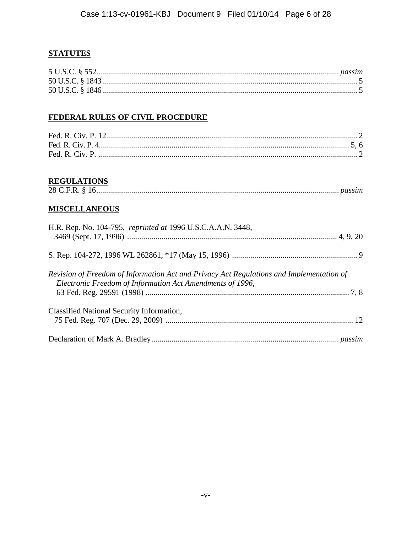# **STATUTES**

# FEDERAL RULES OF CIVIL PROCEDURE

# **REGULATIONS**

# **MISCELLANEOUS**

| H.R. Rep. No. 104-795, reprinted at 1996 U.S.C.A.A.N. 3448,                                                                                           |  |
|-------------------------------------------------------------------------------------------------------------------------------------------------------|--|
|                                                                                                                                                       |  |
| Revision of Freedom of Information Act and Privacy Act Regulations and Implementation of<br>Electronic Freedom of Information Act Amendments of 1996, |  |
|                                                                                                                                                       |  |
| Classified National Security Information,                                                                                                             |  |
|                                                                                                                                                       |  |
|                                                                                                                                                       |  |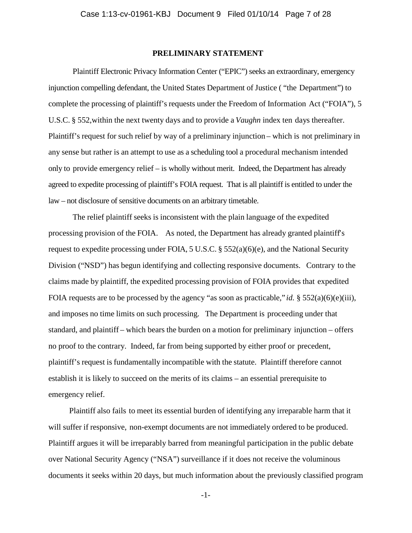### **PRELIMINARY STATEMENT**

Plaintiff Electronic Privacy Information Center ("EPIC") seeks an extraordinary, emergency injunction compelling defendant, the United States Department of Justice ( "the Department") to complete the processing of plaintiff's requests under the Freedom of Information Act ("FOIA"), 5 U.S.C. § 552,within the next twenty days and to provide a *Vaughn* index ten days thereafter. Plaintiff's request for such relief by way of a preliminary injunction – which is not preliminary in any sense but rather is an attempt to use as a scheduling tool a procedural mechanism intended only to provide emergency relief – is wholly without merit. Indeed, the Department has already agreed to expedite processing of plaintiff's FOIA request. That is all plaintiff is entitled to under the law – not disclosure of sensitive documents on an arbitrary timetable.

The relief plaintiff seeks is inconsistent with the plain language of the expedited processing provision of the FOIA. As noted, the Department has already granted plaintiff's request to expedite processing under FOIA, 5 U.S.C. § 552(a)(6)(e), and the National Security Division ("NSD") has begun identifying and collecting responsive documents. Contrary to the claims made by plaintiff, the expedited processing provision of FOIA provides that expedited FOIA requests are to be processed by the agency "as soon as practicable," *id.* § 552(a)(6)(e)(iii), and imposes no time limits on such processing. The Department is proceeding under that standard, and plaintiff – which bears the burden on a motion for preliminary injunction – offers no proof to the contrary. Indeed, far from being supported by either proof or precedent, plaintiff's request is fundamentally incompatible with the statute. Plaintiff therefore cannot establish it is likely to succeed on the merits of its claims – an essential prerequisite to emergency relief.

Plaintiff also fails to meet its essential burden of identifying any irreparable harm that it will suffer if responsive, non-exempt documents are not immediately ordered to be produced. Plaintiff argues it will be irreparably barred from meaningful participation in the public debate over National Security Agency ("NSA") surveillance if it does not receive the voluminous documents it seeks within 20 days, but much information about the previously classified program

-1-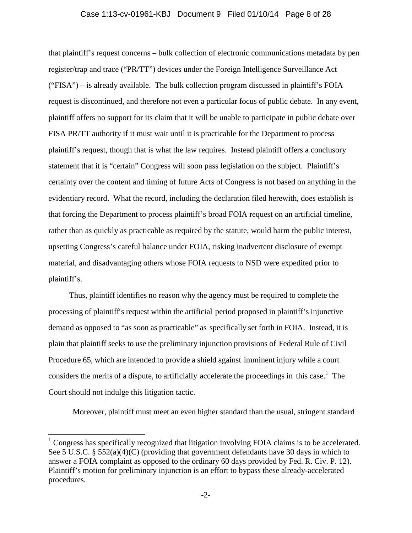### Case 1:13-cv-01961-KBJ Document 9 Filed 01/10/14 Page 8 of 28

that plaintiff's request concerns – bulk collection of electronic communications metadata by pen register/trap and trace ("PR/TT") devices under the Foreign Intelligence Surveillance Act ("FISA") – is already available. The bulk collection program discussed in plaintiff's FOIA request is discontinued, and therefore not even a particular focus of public debate. In any event, plaintiff offers no support for its claim that it will be unable to participate in public debate over FISA PR/TT authority if it must wait until it is practicable for the Department to process plaintiff's request, though that is what the law requires. Instead plaintiff offers a conclusory statement that it is "certain" Congress will soon pass legislation on the subject. Plaintiff's certainty over the content and timing of future Acts of Congress is not based on anything in the evidentiary record. What the record, including the declaration filed herewith, does establish is that forcing the Department to process plaintiff's broad FOIA request on an artificial timeline, rather than as quickly as practicable as required by the statute, would harm the public interest, upsetting Congress's careful balance under FOIA, risking inadvertent disclosure of exempt material, and disadvantaging others whose FOIA requests to NSD were expedited prior to plaintiff's.

Thus, plaintiff identifies no reason why the agency must be required to complete the processing of plaintiff's request within the artificial period proposed in plaintiff's injunctive demand as opposed to "as soon as practicable" as specifically set forth in FOIA. Instead, it is plain that plaintiff seeks to use the preliminary injunction provisions of Federal Rule of Civil Procedure 65, which are intended to provide a shield against imminent injury while a court considers the merits of a dispute, to artificially accelerate the proceedings in this case.<sup>1</sup> The Court should not indulge this litigation tactic.

Moreover, plaintiff must meet an even higher standard than the usual, stringent standard

 $1$  Congress has specifically recognized that litigation involving FOIA claims is to be accelerated. See 5 U.S.C. § 552(a)(4)(C) (providing that government defendants have 30 days in which to answer a FOIA complaint as opposed to the ordinary 60 days provided by Fed. R. Civ. P. 12). Plaintiff's motion for preliminary injunction is an effort to bypass these already-accelerated procedures.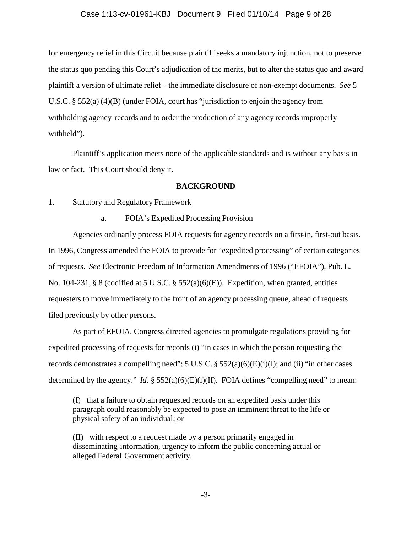### Case 1:13-cv-01961-KBJ Document 9 Filed 01/10/14 Page 9 of 28

for emergency relief in this Circuit because plaintiff seeks a mandatory injunction, not to preserve the status quo pending this Court's adjudication of the merits, but to alter the status quo and award plaintiff a version of ultimate relief – the immediate disclosure of non-exempt documents. *See* 5 U.S.C. § 552(a) (4)(B) (under FOIA, court has "jurisdiction to enjoin the agency from withholding agency records and to order the production of any agency records improperly withheld").

Plaintiff's application meets none of the applicable standards and is without any basis in law or fact. This Court should deny it.

### **BACKGROUND**

### 1. Statutory and Regulatory Framework

#### a. FOIA's Expedited Processing Provision

Agencies ordinarily process FOIA requests for agency records on a first-in, first-out basis. In 1996, Congress amended the FOIA to provide for "expedited processing" of certain categories of requests. *See* Electronic Freedom of Information Amendments of 1996 ("EFOIA"), Pub. L. No. 104-231, § 8 (codified at 5 U.S.C. § 552(a)(6)(E)). Expedition, when granted, entitles requesters to move immediately to the front of an agency processing queue, ahead of requests filed previously by other persons.

As part of EFOIA, Congress directed agencies to promulgate regulations providing for expedited processing of requests for records (i) "in cases in which the person requesting the records demonstrates a compelling need";  $5 \text{ U.S.C.} \frac{6}{5} \frac{552(a)(6)(E)(i)(I)}{I}$ ; and (ii) "in other cases determined by the agency." *Id.*  $\S$  552(a)(6)(E)(i)(II). FOIA defines "compelling need" to mean:

(I) that a failure to obtain requested records on an expedited basis under this paragraph could reasonably be expected to pose an imminent threat to the life or physical safety of an individual; or

(II) with respect to a request made by a person primarily engaged in disseminating information, urgency to inform the public concerning actual or alleged Federal Government activity.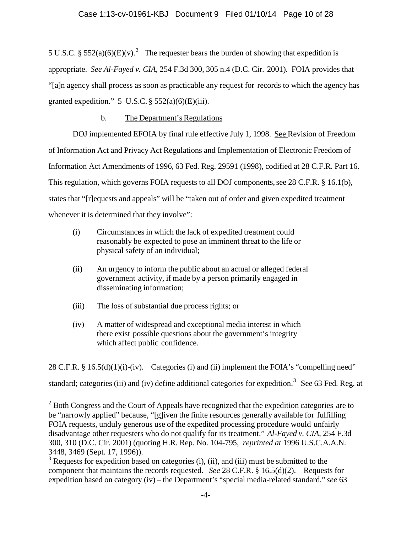5 U.S.C. § 552(a)(6)(E)(v).<sup>2</sup> The requester bears the burden of showing that expedition is appropriate. *See Al-Fayed v. CIA*, 254 F.3d 300, 305 n.4 (D.C. Cir. 2001). FOIA provides that "[a]n agency shall process as soon as practicable any request for records to which the agency has granted expedition."  $5 \text{ U.S.C.} \$  $552(a)(6)(E)(iii)$ .

# b. The Department's Regulations

DOJ implemented EFOIA by final rule effective July 1, 1998. See Revision of Freedom of Information Act and Privacy Act Regulations and Implementation of Electronic Freedom of Information Act Amendments of 1996, 63 Fed. Reg. 29591 (1998), codified at 28 C.F.R. Part 16. This regulation, which governs FOIA requests to all DOJ components, see 28 C.F.R. § 16.1(b), states that "[r]equests and appeals" will be "taken out of order and given expedited treatment whenever it is determined that they involve":

- (i) Circumstances in which the lack of expedited treatment could reasonably be expected to pose an imminent threat to the life or physical safety of an individual;
- (ii) An urgency to inform the public about an actual or alleged federal government activity, if made by a person primarily engaged in disseminating information;
- (iii) The loss of substantial due process rights; or

 $\overline{a}$ 

(iv) A matter of widespread and exceptional media interest in which there exist possible questions about the government's integrity which affect public confidence.

28 C.F.R. § 16.5(d)(1)(i)-(iv). Categories (i) and (ii) implement the FOIA's "compelling need" standard; categories (iii) and (iv) define additional categories for expedition.<sup>3</sup> See 63 Fed. Reg. at

 $2^{2}$  Both Congress and the Court of Appeals have recognized that the expedition categories are to be "narrowly applied" because, "[g]iven the finite resources generally available for fulfilling FOIA requests, unduly generous use of the expedited processing procedure would unfairly disadvantage other requesters who do not qualify for its treatment." *Al-Fayed v. CIA*, 254 F.3d 300, 310 (D.C. Cir. 2001) (quoting H.R. Rep. No. 104-795, *reprinted at* 1996 U.S.C.A.A.N. 3448, 3469 (Sept. 17, 1996)).

 $3$  Requests for expedition based on categories (i), (ii), and (iii) must be submitted to the component that maintains the records requested. *See* 28 C.F.R. § 16.5(d)(2). Requests for expedition based on category (iv) – the Department's "special media-related standard," *see* 63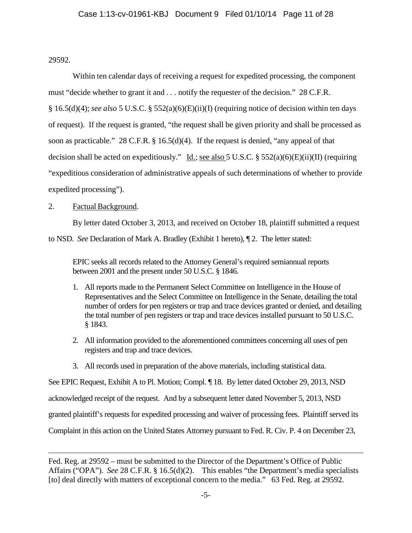29592.

Within ten calendar days of receiving a request for expedited processing, the component must "decide whether to grant it and . . . notify the requester of the decision." 28 C.F.R. § 16.5(d)(4); *see also* 5 U.S.C. § 552(a)(6)(E)(ii)(I) (requiring notice of decision within ten days of request). If the request is granted, "the request shall be given priority and shall be processed as soon as practicable." 28 C.F.R. § 16.5(d)(4). If the request is denied, "any appeal of that decision shall be acted on expeditiously." Id.; see also 5 U.S.C. § 552(a)(6)(E)(ii)(II) (requiring "expeditious consideration of administrative appeals of such determinations of whether to provide expedited processing").

## 2. Factual Background.

By letter dated October 3, 2013, and received on October 18, plaintiff submitted a request to NSD. *See* Declaration of Mark A. Bradley (Exhibit 1 hereto), ¶ 2. The letter stated:

EPIC seeks all records related to the Attorney General's required semiannual reports between 2001 and the present under 50 U.S.C. § 1846.

- 1. All reports made to the Permanent Select Committee on Intelligence in the House of Representatives and the Select Committee on Intelligence in the Senate, detailing the total number of orders for pen registers or trap and trace devices granted or denied, and detailing the total number of pen registers or trap and trace devices installed pursuant to 50 U.S.C. § 1843.
- 2. All information provided to the aforementioned committees concerning all uses of pen registers and trap and trace devices.
- 3. All records used in preparation of the above materials, including statistical data.

See EPIC Request, Exhibit A to Pl. Motion; Compl. ¶ 18. By letter dated October 29, 2013, NSD acknowledged receipt of the request. And by a subsequent letter dated November 5, 2013, NSD granted plaintiff's requests for expedited processing and waiver of processing fees. Plaintiff served its Complaint in this action on the United States Attorney pursuant to Fed. R. Civ. P. 4 on December 23,

## Fed. Reg. at 29592 – must be submitted to the Director of the Department's Office of Public Affairs ("OPA"). *See* 28 C.F.R. § 16.5(d)(2). This enables "the Department's media specialists [to] deal directly with matters of exceptional concern to the media." 63 Fed. Reg. at 29592.  $\overline{a}$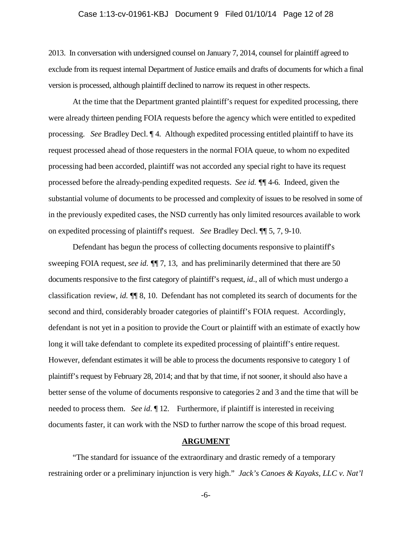### Case 1:13-cv-01961-KBJ Document 9 Filed 01/10/14 Page 12 of 28

2013. In conversation with undersigned counsel on January 7, 2014, counsel for plaintiff agreed to exclude from its request internal Department of Justice emails and drafts of documents for which a final version is processed, although plaintiff declined to narrow its request in other respects.

At the time that the Department granted plaintiff's request for expedited processing, there were already thirteen pending FOIA requests before the agency which were entitled to expedited processing. *See* Bradley Decl. ¶ 4. Although expedited processing entitled plaintiff to have its request processed ahead of those requesters in the normal FOIA queue, to whom no expedited processing had been accorded, plaintiff was not accorded any special right to have its request processed before the already-pending expedited requests. *See id. ¶*¶ 4-6. Indeed, given the substantial volume of documents to be processed and complexity of issues to be resolved in some of in the previously expedited cases, the NSD currently has only limited resources available to work on expedited processing of plaintiff's request. *See* Bradley Decl. ¶¶ 5, 7, 9-10.

Defendant has begun the process of collecting documents responsive to plaintiff's sweeping FOIA request, *see id. ¶*¶ 7, 13, and has preliminarily determined that there are 50 documents responsive to the first category of plaintiff's request, *id*., all of which must undergo a classification review, *id.* ¶¶ 8, 10. Defendant has not completed its search of documents for the second and third, considerably broader categories of plaintiff's FOIA request. Accordingly, defendant is not yet in a position to provide the Court or plaintiff with an estimate of exactly how long it will take defendant to complete its expedited processing of plaintiff's entire request. However, defendant estimates it will be able to process the documents responsive to category 1 of plaintiff's request by February 28, 2014; and that by that time, if not sooner, it should also have a better sense of the volume of documents responsive to categories 2 and 3 and the time that will be needed to process them. *See id*. ¶ 12. Furthermore, if plaintiff is interested in receiving documents faster, it can work with the NSD to further narrow the scope of this broad request.

### **ARGUMENT**

"The standard for issuance of the extraordinary and drastic remedy of a temporary restraining order or a preliminary injunction is very high." *Jack's Canoes & Kayaks, LLC v. Nat'l* 

-6-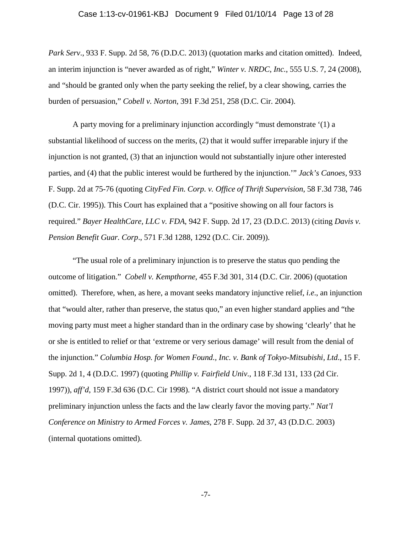### Case 1:13-cv-01961-KBJ Document 9 Filed 01/10/14 Page 13 of 28

*Park Serv*., 933 F. Supp. 2d 58, 76 (D.D.C. 2013) (quotation marks and citation omitted). Indeed, an interim injunction is "never awarded as of right," *Winter v. NRDC, Inc.*, 555 U.S. 7, 24 (2008), and "should be granted only when the party seeking the relief, by a clear showing, carries the burden of persuasion," *Cobell v. Norton*, 391 F.3d 251, 258 (D.C. Cir. 2004).

A party moving for a preliminary injunction accordingly "must demonstrate '(1) a substantial likelihood of success on the merits, (2) that it would suffer irreparable injury if the injunction is not granted, (3) that an injunction would not substantially injure other interested parties, and (4) that the public interest would be furthered by the injunction.'" *Jack's Canoes,* 933 F. Supp. 2d at 75-76 (quoting *CityFed Fin. Corp. v. Office of Thrift Supervision*, 58 F.3d 738, 746 (D.C. Cir. 1995)). This Court has explained that a "positive showing on all four factors is required." *Bayer HealthCare, LLC v. FDA*, 942 F. Supp. 2d 17, 23 (D.D.C. 2013) (citing *Davis v. Pension Benefit Guar. Corp*., 571 F.3d 1288, 1292 (D.C. Cir. 2009)).

"The usual role of a preliminary injunction is to preserve the status quo pending the outcome of litigation." *Cobell v. Kempthorne*, 455 F.3d 301, 314 (D.C. Cir. 2006) (quotation omitted). Therefore, when, as here, a movant seeks mandatory injunctive relief, *i.e*., an injunction that "would alter, rather than preserve, the status quo," an even higher standard applies and "the moving party must meet a higher standard than in the ordinary case by showing 'clearly' that he or she is entitled to relief or that 'extreme or very serious damage' will result from the denial of the injunction." *Columbia Hosp. for Women Found., Inc. v. Bank of Tokyo-Mitsubishi, Ltd*., 15 F. Supp. 2d 1, 4 (D.D.C. 1997) (quoting *Phillip v. Fairfield Univ*., 118 F.3d 131, 133 (2d Cir. 1997)), *aff'd*, 159 F.3d 636 (D.C. Cir 1998). "A district court should not issue a mandatory preliminary injunction unless the facts and the law clearly favor the moving party." *Nat'l Conference on Ministry to Armed Forces v. James*, 278 F. Supp. 2d 37, 43 (D.D.C. 2003) (internal quotations omitted).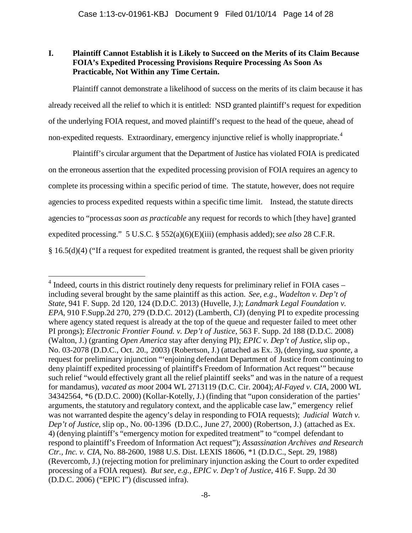# **I. Plaintiff Cannot Establish it is Likely to Succeed on the Merits of its Claim Because FOIA's Expedited Processing Provisions Require Processing As Soon As Practicable, Not Within any Time Certain.**

Plaintiff cannot demonstrate a likelihood of success on the merits of its claim because it has already received all the relief to which it is entitled: NSD granted plaintiff's request for expedition of the underlying FOIA request, and moved plaintiff's request to the head of the queue, ahead of non-expedited requests. Extraordinary, emergency injunctive relief is wholly inappropriate.<sup>4</sup>

Plaintiff's circular argument that the Department of Justice has violated FOIA is predicated on the erroneous assertion that the expedited processing provision of FOIA requires an agency to complete its processing within a specific period of time. The statute, however, does not require agencies to process expedited requests within a specific time limit. Instead, the statute directs agencies to "process*as soon as practicable* any request for records to which [they have] granted expedited processing." 5 U.S.C. § 552(a)(6)(E)(iii) (emphasis added);*see also* 28 C.F.R. § 16.5(d)(4) ("If a request for expedited treatment is granted, the request shall be given priority

 $4$  Indeed, courts in this district routinely deny requests for preliminary relief in FOIA cases – including several brought by the same plaintiff as this action. *See, e.g*., *Wadelton v. Dep't of State*, 941 F. Supp. 2d 120, 124 (D.D.C. 2013) (Huvelle, J.); *Landmark Legal Foundation v. EPA*, 910 F.Supp.2d 270, 279 (D.D.C. 2012) (Lamberth, CJ) (denying PI to expedite processing where agency stated request is already at the top of the queue and requester failed to meet other PI prongs); *Electronic Frontier Found. v. Dep't of Justice*, 563 F. Supp. 2d 188 (D.D.C. 2008) (Walton, J.) (granting *Open America* stay after denying PI); *EPIC v. Dep't of Justice*, slip op., No. 03-2078 (D.D.C., Oct. 20., 2003) (Robertson, J.) (attached as Ex. 3), (denying, *sua sponte*, a request for preliminary injunction "'enjoining defendant Department of Justice from continuing to deny plaintiff expedited processing of plaintiff's Freedom of Information Act request'" because such relief "would effectively grant all the relief plaintiff seeks" and was in the nature of a request for mandamus), *vacated as moot* 2004 WL 2713119 (D.C. Cir. 2004); *Al-Fayed v. CIA*, 2000 WL 34342564, \*6 (D.D.C. 2000) (Kollar-Kotelly, J.) (finding that "upon consideration of the parties' arguments, the statutory and regulatory context, and the applicable case law," emergency relief was not warranted despite the agency's delay in responding to FOIA requests); *Judicial Watch v. Dep't of Justice*, slip op., No. 00-1396 (D.D.C., June 27, 2000) (Robertson, J.) (attached as Ex. 4) (denying plaintiff's "emergency motion for expedited treatment" to "compel defendant to respond to plaintiff's Freedom of Information Act request"); *Assassination Archives and Research Ctr., Inc. v. CIA*, No. 88-2600, 1988 U.S. Dist. LEXIS 18606, \*1 (D.D.C., Sept. 29, 1988) (Revercomb, J.) (rejecting motion for preliminary injunction asking the Court to order expedited processing of a FOIA request). *But see, e.g., EPIC v. Dep't of Justice*, 416 F. Supp. 2d 30 (D.D.C. 2006) ("EPIC I") (discussed infra).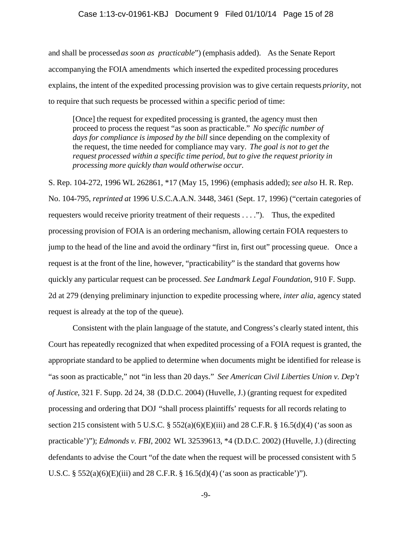### Case 1:13-cv-01961-KBJ Document 9 Filed 01/10/14 Page 15 of 28

and shall be processed*as soon as practicable*") (emphasis added). As the Senate Report accompanying the FOIA amendments which inserted the expedited processing procedures explains, the intent of the expedited processing provision was to give certain requests *priority*, not to require that such requests be processed within a specific period of time:

[Once] the request for expedited processing is granted, the agency must then proceed to process the request "as soon as practicable." *No specific number of days for compliance is imposed by the bill* since depending on the complexity of the request, the time needed for compliance may vary. *The goal is not to get the request processed within a specific time period, but to give the request priority in processing more quickly than would otherwise occur.*

S. Rep. 104-272, 1996 WL 262861, \*17 (May 15, 1996) (emphasis added); *see also* H. R. Rep. No. 104-795, *reprinted at* 1996 U.S.C.A.A.N. 3448, 3461 (Sept. 17, 1996) ("certain categories of requesters would receive priority treatment of their requests . . . ."). Thus, the expedited processing provision of FOIA is an ordering mechanism, allowing certain FOIA requesters to jump to the head of the line and avoid the ordinary "first in, first out" processing queue. Once a request is at the front of the line, however, "practicability" is the standard that governs how quickly any particular request can be processed. *See Landmark Legal Foundation*, 910 F. Supp. 2d at 279 (denying preliminary injunction to expedite processing where, *inter alia*, agency stated request is already at the top of the queue).

Consistent with the plain language of the statute, and Congress's clearly stated intent, this Court has repeatedly recognized that when expedited processing of a FOIA request is granted, the appropriate standard to be applied to determine when documents might be identified for release is "as soon as practicable," not "in less than 20 days." *See American Civil Liberties Union v. Dep't of Justice*, 321 F. Supp. 2d 24, 38 (D.D.C. 2004) (Huvelle, J.) (granting request for expedited processing and ordering that DOJ "shall process plaintiffs' requests for all records relating to section 215 consistent with 5 U.S.C. §  $552(a)(6)(E)(iii)$  and 28 C.F.R. § 16.5(d)(4) ('as soon as practicable')"); *Edmonds v. FBI*, 2002 WL 32539613, \*4 (D.D.C. 2002) (Huvelle, J.) (directing defendants to advise the Court "of the date when the request will be processed consistent with 5 U.S.C. § 552(a)(6)(E)(iii) and 28 C.F.R. § 16.5(d)(4) ('as soon as practicable')").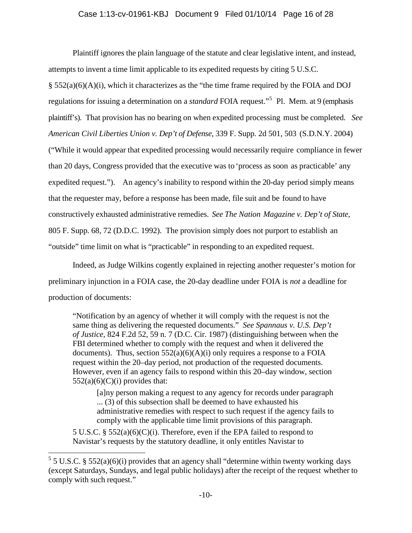### Case 1:13-cv-01961-KBJ Document 9 Filed 01/10/14 Page 16 of 28

Plaintiff ignores the plain language of the statute and clear legislative intent, and instead, attempts to invent a time limit applicable to its expedited requests by citing 5 U.S.C. § 552(a)(6)(A)(i), which it characterizes as the "the time frame required by the FOIA and DOJ regulations for issuing a determination on a *standard* FOIA request."5 Pl. Mem. at 9 (emphasis plaintiff's). That provision has no bearing on when expedited processing must be completed. *See American Civil Liberties Union v. Dep't of Defense*, 339 F. Supp. 2d 501, 503 (S.D.N.Y. 2004) ("While it would appear that expedited processing would necessarily require compliance in fewer than 20 days, Congress provided that the executive was to 'process as soon as practicable' any expedited request."). An agency's inability to respond within the 20-day period simply means that the requester may, before a response has been made, file suit and be found to have constructively exhausted administrative remedies. *See The Nation Magazine v. Dep't of State*, 805 F. Supp. 68, 72 (D.D.C. 1992). The provision simply does not purport to establish an "outside" time limit on what is "practicable" in responding to an expedited request.

Indeed, as Judge Wilkins cogently explained in rejecting another requester's motion for preliminary injunction in a FOIA case, the 20-day deadline under FOIA is *not* a deadline for production of documents:

"Notification by an agency of whether it will comply with the request is not the same thing as delivering the requested documents." *See Spannaus v. U.S. Dep't of Justice*, 824 F.2d 52, 59 n. 7 (D.C. Cir. 1987) (distinguishing between when the FBI determined whether to comply with the request and when it delivered the documents). Thus, section  $552(a)(6)(A)(i)$  only requires a response to a FOIA request within the 20–day period, not production of the requested documents. However, even if an agency fails to respond within this 20–day window, section  $552(a)(6)(C)(i)$  provides that:

[a]ny person making a request to any agency for records under paragraph ... (3) of this subsection shall be deemed to have exhausted his administrative remedies with respect to such request if the agency fails to comply with the applicable time limit provisions of this paragraph.

5 U.S.C. § 552(a)(6)(C)(i). Therefore, even if the EPA failed to respond to Navistar's requests by the statutory deadline, it only entitles Navistar to

 $5$  5 U.S.C. § 552(a)(6)(i) provides that an agency shall "determine within twenty working days (except Saturdays, Sundays, and legal public holidays) after the receipt of the request whether to comply with such request."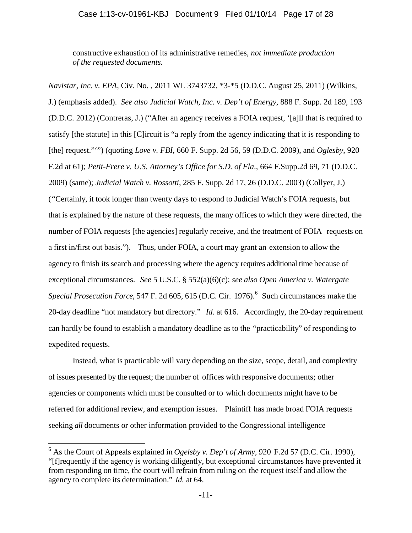### Case 1:13-cv-01961-KBJ Document 9 Filed 01/10/14 Page 17 of 28

constructive exhaustion of its administrative remedies, *not immediate production of the requested documents.*

*Navistar, Inc. v. EPA*, Civ. No. , 2011 WL 3743732, \*3-\*5 (D.D.C. August 25, 2011) (Wilkins, J.) (emphasis added). *See also Judicial Watch, Inc. v. Dep't of Energy*, 888 F. Supp. 2d 189, 193 (D.D.C. 2012) (Contreras, J.) ("After an agency receives a FOIA request, '[a]ll that is required to satisfy [the statute] in this [C]ircuit is "a reply from the agency indicating that it is responding to [the] request."'") (quoting *Love v. FBI*, 660 F. Supp. 2d 56, 59 (D.D.C. 2009), and *Oglesby*, 920 F.2d at 61); *Petit-Frere v. U.S. Attorney's Office for S.D. of Fla*., 664 F.Supp.2d 69, 71 (D.D.C. 2009) (same); *Judicial Watch v. Rossotti*, 285 F. Supp. 2d 17, 26 (D.D.C. 2003) (Collyer, J.) ("Certainly, it took longer than twenty days to respond to Judicial Watch's FOIA requests, but that is explained by the nature of these requests, the many offices to which they were directed, the number of FOIA requests [the agencies] regularly receive, and the treatment of FOIA requests on a first in/first out basis."). Thus, under FOIA, a court may grant an extension to allow the agency to finish its search and processing where the agency requires additional time because of exceptional circumstances. *See* 5 U.S.C. § 552(a)(6)(c); *see also Open America v. Watergate Special Prosecution Force*, 547 F. 2d 605, 615 (D.C. Cir. 1976).<sup>6</sup> Such circumstances make the 20-day deadline "not mandatory but directory." *Id.* at 616. Accordingly, the 20-day requirement can hardly be found to establish a mandatory deadline as to the "practicability" of responding to expedited requests.

Instead, what is practicable will vary depending on the size, scope, detail, and complexity of issues presented by the request; the number of offices with responsive documents; other agencies or components which must be consulted or to which documents might have to be referred for additional review, and exemption issues. Plaintiff has made broad FOIA requests seeking *all* documents or other information provided to the Congressional intelligence

<sup>6</sup> As the Court of Appeals explained in *Ogelsby v. Dep't of Army*, 920 F.2d 57 (D.C. Cir. 1990), "[f]requently if the agency is working diligently, but exceptional circumstances have prevented it from responding on time, the court will refrain from ruling on the request itself and allow the agency to complete its determination." *Id.* at 64.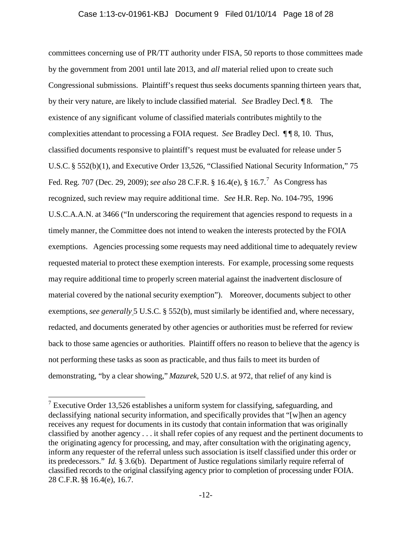### Case 1:13-cv-01961-KBJ Document 9 Filed 01/10/14 Page 18 of 28

committees concerning use of PR/TT authority under FISA, 50 reports to those committees made by the government from 2001 until late 2013, and *all* material relied upon to create such Congressional submissions. Plaintiff's request thus seeks documents spanning thirteen years that, by their very nature, are likely to include classified material. *See* Bradley Decl. ¶ 8. The existence of any significant volume of classified materials contributes mightily to the complexities attendant to processing a FOIA request. *See* Bradley Decl. ¶ ¶ 8, 10. Thus, classified documents responsive to plaintiff's request must be evaluated for release under 5 U.S.C. § 552(b)(1), and Executive Order 13,526, "Classified National Security Information," 75 Fed. Reg. 707 (Dec. 29, 2009); *see also* 28 C.F.R. § 16.4(e), § 16.7.7 As Congress has recognized, such review may require additional time. *See* H.R. Rep. No. 104-795, 1996 U.S.C.A.A.N. at 3466 ("In underscoring the requirement that agencies respond to requests in a timely manner, the Committee does not intend to weaken the interests protected by the FOIA exemptions. Agencies processing some requests may need additional time to adequately review requested material to protect these exemption interests. For example, processing some requests may require additional time to properly screen material against the inadvertent disclosure of material covered by the national security exemption"). Moreover, documents subject to other exemptions, *see generally* 5 U.S.C. § 552(b), must similarly be identified and, where necessary, redacted, and documents generated by other agencies or authorities must be referred for review back to those same agencies or authorities. Plaintiff offers no reason to believe that the agency is not performing these tasks as soon as practicable, and thus fails to meet its burden of demonstrating, "by a clear showing," *Mazurek*, 520 U.S. at 972, that relief of any kind is

<sup>&</sup>lt;sup>7</sup> Executive Order 13,526 establishes a uniform system for classifying, safeguarding, and declassifying national security information, and specifically provides that "[w]hen an agency receives any request for documents in its custody that contain information that was originally classified by another agency . . . it shall refer copies of any request and the pertinent documents to the originating agency for processing, and may, after consultation with the originating agency, inform any requester of the referral unless such association is itself classified under this order or its predecessors." *Id.* § 3.6(b). Department of Justice regulations similarly require referral of classified records to the original classifying agency prior to completion of processing under FOIA. 28 C.F.R. §§ 16.4(e), 16.7.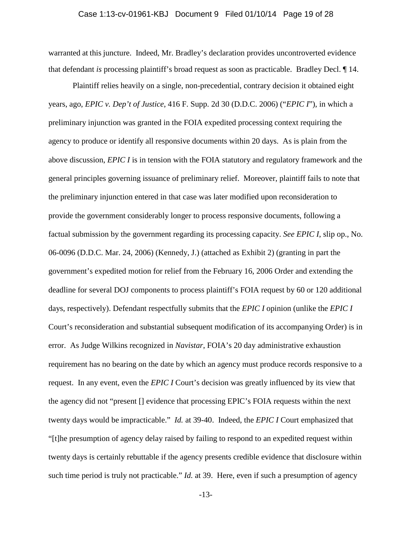### Case 1:13-cv-01961-KBJ Document 9 Filed 01/10/14 Page 19 of 28

warranted at this juncture. Indeed, Mr. Bradley's declaration provides uncontroverted evidence that defendant *is* processing plaintiff's broad request as soon as practicable. Bradley Decl. ¶ 14.

Plaintiff relies heavily on a single, non-precedential, contrary decision it obtained eight years, ago, *EPIC v. Dep't of Justice*, 416 F. Supp. 2d 30 (D.D.C. 2006) ("*EPIC I*"), in which a preliminary injunction was granted in the FOIA expedited processing context requiring the agency to produce or identify all responsive documents within 20 days. As is plain from the above discussion, *EPIC I* is in tension with the FOIA statutory and regulatory framework and the general principles governing issuance of preliminary relief. Moreover, plaintiff fails to note that the preliminary injunction entered in that case was later modified upon reconsideration to provide the government considerably longer to process responsive documents, following a factual submission by the government regarding its processing capacity. *See EPIC I*, slip op., No. 06-0096 (D.D.C. Mar. 24, 2006) (Kennedy, J.) (attached as Exhibit 2) (granting in part the government's expedited motion for relief from the February 16, 2006 Order and extending the deadline for several DOJ components to process plaintiff's FOIA request by 60 or 120 additional days, respectively). Defendant respectfully submits that the *EPIC I* opinion (unlike the *EPIC I* Court's reconsideration and substantial subsequent modification of its accompanying Order) is in error. As Judge Wilkins recognized in *Navistar*, FOIA's 20 day administrative exhaustion requirement has no bearing on the date by which an agency must produce records responsive to a request. In any event, even the *EPIC I* Court's decision was greatly influenced by its view that the agency did not "present [] evidence that processing EPIC's FOIA requests within the next twenty days would be impracticable." *Id.* at 39-40. Indeed, the *EPIC I* Court emphasized that "[t]he presumption of agency delay raised by failing to respond to an expedited request within twenty days is certainly rebuttable if the agency presents credible evidence that disclosure within such time period is truly not practicable." *Id.* at 39. Here, even if such a presumption of agency

-13-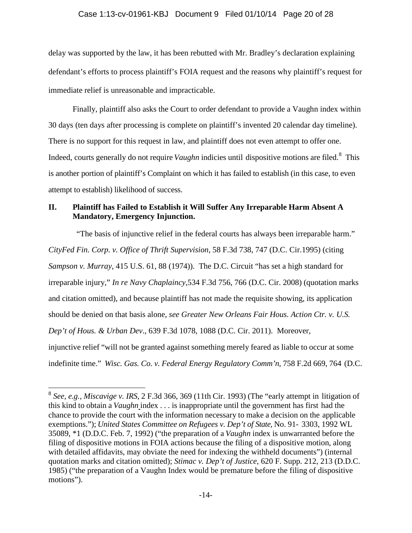# Case 1:13-cv-01961-KBJ Document 9 Filed 01/10/14 Page 20 of 28

delay was supported by the law, it has been rebutted with Mr. Bradley's declaration explaining defendant's efforts to process plaintiff's FOIA request and the reasons why plaintiff's request for immediate relief is unreasonable and impracticable.

Finally, plaintiff also asks the Court to order defendant to provide a Vaughn index within 30 days (ten days after processing is complete on plaintiff's invented 20 calendar day timeline). There is no support for this request in law, and plaintiff does not even attempt to offer one. Indeed, courts generally do not require *Vaughn* indicies until dispositive motions are filed.<sup>8</sup> This is another portion of plaintiff's Complaint on which it has failed to establish (in this case, to even attempt to establish) likelihood of success.

## **II. Plaintiff has Failed to Establish it Will Suffer Any Irreparable Harm Absent A Mandatory, Emergency Injunction.**

"The basis of injunctive relief in the federal courts has always been irreparable harm." *CityFed Fin. Corp. v. Office of Thrift Supervision*, 58 F.3d 738, 747 (D.C. Cir.1995) (citing *Sampson v. Murray*, 415 U.S. 61, 88 (1974)). The D.C. Circuit "has set a high standard for irreparable injury," *In re Navy Chaplaincy*,534 F.3d 756, 766 (D.C. Cir. 2008) (quotation marks and citation omitted), and because plaintiff has not made the requisite showing, its application should be denied on that basis alone, *see Greater New Orleans Fair Hous. Action Ctr. v. U.S. Dep't of Hous. & Urban Dev*., 639 F.3d 1078, 1088 (D.C. Cir. 2011). Moreover, injunctive relief "will not be granted against something merely feared as liable to occur at some indefinite time." *Wisc. Gas. Co. v. Federal Energy Regulatory Comm'n*, 758 F.2d 669, 764 (D.C.

<sup>8</sup> *See, e.g., Miscavige v. IRS*, 2 F.3d 366, 369 (11th Cir. 1993) (The "early attempt in litigation of this kind to obtain a *Vaughn* index . . . is inappropriate until the government has first had the chance to provide the court with the information necessary to make a decision on the applicable exemptions."); *United States Committee on Refugees v. Dep't of State,* No. 91- 3303, 1992 WL 35089, \*1 (D.D.C. Feb. 7, 1992) ("the preparation of a *Vaughn* index is unwarranted before the filing of dispositive motions in FOIA actions because the filing of a dispositive motion, along with detailed affidavits, may obviate the need for indexing the withheld documents") (internal quotation marks and citation omitted); *Stimac v. Dep't of Justice*, 620 F. Supp. 212, 213 (D.D.C. 1985) ("the preparation of a Vaughn Index would be premature before the filing of dispositive motions").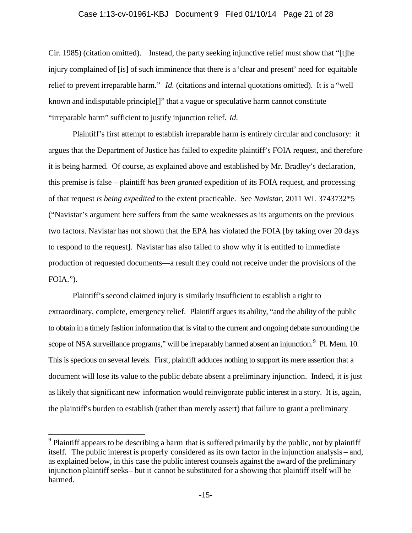### Case 1:13-cv-01961-KBJ Document 9 Filed 01/10/14 Page 21 of 28

Cir. 1985) (citation omitted). Instead, the party seeking injunctive relief must show that "[t]he injury complained of [is] of such imminence that there is a 'clear and present' need for equitable relief to prevent irreparable harm." *Id.* (citations and internal quotations omitted). It is a "well known and indisputable principle[]" that a vague or speculative harm cannot constitute "irreparable harm" sufficient to justify injunction relief. *Id.*

Plaintiff's first attempt to establish irreparable harm is entirely circular and conclusory: it argues that the Department of Justice has failed to expedite plaintiff's FOIA request, and therefore it is being harmed. Of course, as explained above and established by Mr. Bradley's declaration, this premise is false – plaintiff *has been granted* expedition of its FOIA request, and processing of that request *is being expedited* to the extent practicable. See *Navistar*, 2011 WL 3743732\*5 ("Navistar's argument here suffers from the same weaknesses as its arguments on the previous two factors. Navistar has not shown that the EPA has violated the FOIA [by taking over 20 days to respond to the request]. Navistar has also failed to show why it is entitled to immediate production of requested documents—a result they could not receive under the provisions of the FOIA.").

Plaintiff's second claimed injury is similarly insufficient to establish a right to extraordinary, complete, emergency relief. Plaintiff argues its ability, "and the ability of the public to obtain in a timely fashion information that is vital to the current and ongoing debate surrounding the scope of NSA surveillance programs," will be irreparably harmed absent an injunction.<sup>9</sup> Pl. Mem. 10. This is specious on several levels. First, plaintiff adduces nothing to support its mere assertion that a document will lose its value to the public debate absent a preliminary injunction. Indeed, it is just as likely that significant new information would reinvigorate public interest in a story. It is, again, the plaintiff's burden to establish (rather than merely assert) that failure to grant a preliminary

 $9$  Plaintiff appears to be describing a harm that is suffered primarily by the public, not by plaintiff itself. The public interest is properly considered as its own factor in the injunction analysis – and, as explained below, in this case the public interest counsels against the award of the preliminary injunction plaintiff seeks – but it cannot be substituted for a showing that plaintiff itself will be harmed.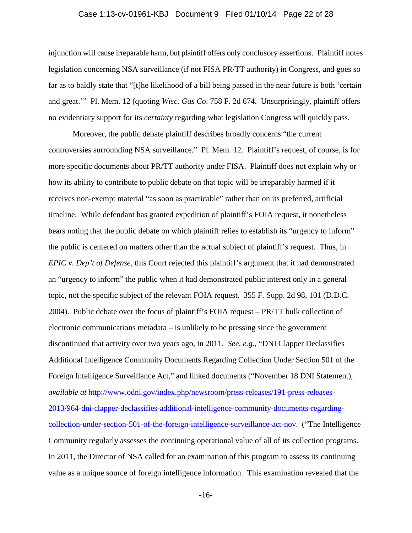### Case 1:13-cv-01961-KBJ Document 9 Filed 01/10/14 Page 22 of 28

injunction will cause irreparable harm, but plaintiff offers only conclusory assertions. Plaintiff notes legislation concerning NSA surveillance (if not FISA PR/TT authority) in Congress, and goes so far as to baldly state that "[t]he likelihood of a bill being passed in the near future is both 'certain and great.'" Pl. Mem. 12 (quoting *Wisc. Gas Co*. 758 F. 2d 674. Unsurprisingly, plaintiff offers no evidentiary support for its *certainty* regarding what legislation Congress will quickly pass.

Moreover, the public debate plaintiff describes broadly concerns "the current controversies surrounding NSA surveillance." Pl. Mem. 12. Plaintiff's request, of course, is for more specific documents about PR/TT authority under FISA. Plaintiff does not explain why or how its ability to contribute to public debate on that topic will be irreparably harmed if it receives non-exempt material "as soon as practicable" rather than on its preferred, artificial timeline. While defendant has granted expedition of plaintiff's FOIA request, it nonetheless bears noting that the public debate on which plaintiff relies to establish its "urgency to inform" the public is centered on matters other than the actual subject of plaintiff's request. Thus, in *EPIC v. Dep't of Defense*, this Court rejected this plaintiff's argument that it had demonstrated an "urgency to inform" the public when it had demonstrated public interest only in a general topic, not the specific subject of the relevant FOIA request. 355 F. Supp. 2d 98, 101 (D.D.C. 2004). Public debate over the focus of plaintiff's FOIA request – PR/TT bulk collection of electronic communications metadata – is unlikely to be pressing since the government discontinued that activity over two years ago, in 2011. *See, e.g*., "DNI Clapper Declassifies Additional Intelligence Community Documents Regarding Collection Under Section 501 of the Foreign Intelligence Surveillance Act," and linked documents ("November 18 DNI Statement), *available at* http://www.odni.gov/index.php/newsroom/press-releases/191-press-releases-2013/964-dni-clapper-declassifies-additional-intelligence-community-documents-regardingcollection-under-section-501-of-the-foreign-intelligence-surveillance-act-nov. ("The Intelligence Community regularly assesses the continuing operational value of all of its collection programs. In 2011, the Director of NSA called for an examination of this program to assess its continuing value as a unique source of foreign intelligence information. This examination revealed that the

-16-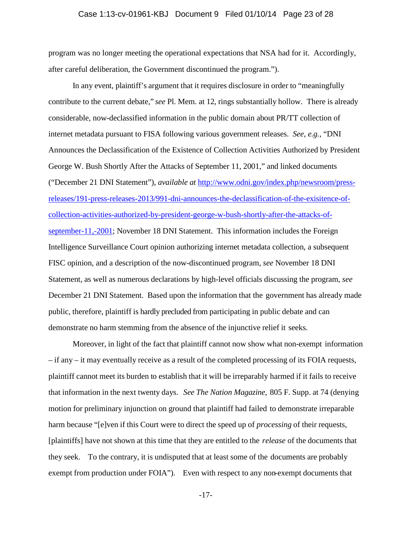### Case 1:13-cv-01961-KBJ Document 9 Filed 01/10/14 Page 23 of 28

program was no longer meeting the operational expectations that NSA had for it. Accordingly, after careful deliberation, the Government discontinued the program.").

In any event, plaintiff's argument that it requires disclosure in order to "meaningfully contribute to the current debate," *see* Pl. Mem. at 12, rings substantially hollow. There is already considerable, now-declassified information in the public domain about PR/TT collection of internet metadata pursuant to FISA following various government releases. *See, e.g.,* "DNI Announces the Declassification of the Existence of Collection Activities Authorized by President George W. Bush Shortly After the Attacks of September 11, 2001," and linked documents ("December 21 DNI Statement"), *available at* http://www.odni.gov/index.php/newsroom/pressreleases/191-press-releases-2013/991-dni-announces-the-declassification-of-the-exisitence-ofcollection-activities-authorized-by-president-george-w-bush-shortly-after-the-attacks-ofseptember-11,-2001; November 18 DNI Statement. This information includes the Foreign Intelligence Surveillance Court opinion authorizing internet metadata collection, a subsequent FISC opinion, and a description of the now-discontinued program, *see* November 18 DNI Statement, as well as numerous declarations by high-level officials discussing the program, *see* December 21 DNI Statement. Based upon the information that the government has already made public, therefore, plaintiff is hardly precluded from participating in public debate and can demonstrate no harm stemming from the absence of the injunctive relief it seeks.

Moreover, in light of the fact that plaintiff cannot now show what non-exempt information – if any – it may eventually receive as a result of the completed processing of its FOIA requests, plaintiff cannot meet its burden to establish that it will be irreparably harmed if it fails to receive that information in the next twenty days. *See The Nation Magazine*, 805 F. Supp. at 74 (denying motion for preliminary injunction on ground that plaintiff had failed to demonstrate irreparable harm because "[e]ven if this Court were to direct the speed up of *processing* of their requests, [plaintiffs] have not shown at this time that they are entitled to the *release* of the documents that they seek. To the contrary, it is undisputed that at least some of the documents are probably exempt from production under FOIA"). Even with respect to any non-exempt documents that

-17-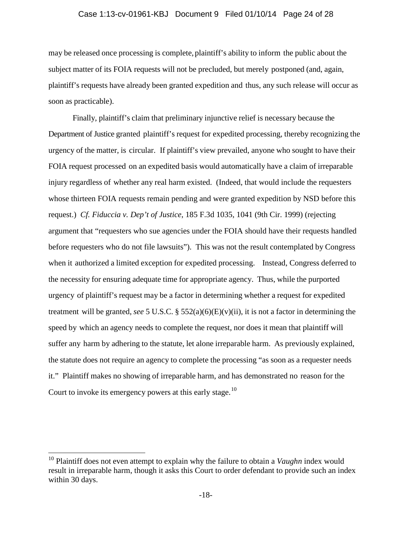### Case 1:13-cv-01961-KBJ Document 9 Filed 01/10/14 Page 24 of 28

may be released once processing is complete, plaintiff's ability to inform the public about the subject matter of its FOIA requests will not be precluded, but merely postponed (and, again, plaintiff's requests have already been granted expedition and thus, any such release will occur as soon as practicable).

Finally, plaintiff's claim that preliminary injunctive relief is necessary because the Department of Justice granted plaintiff's request for expedited processing, thereby recognizing the urgency of the matter, is circular. If plaintiff's view prevailed, anyone who sought to have their FOIA request processed on an expedited basis would automatically have a claim of irreparable injury regardless of whether any real harm existed. (Indeed, that would include the requesters whose thirteen FOIA requests remain pending and were granted expedition by NSD before this request.) *Cf. Fiduccia v. Dep't of Justice*, 185 F.3d 1035, 1041 (9th Cir. 1999) (rejecting argument that "requesters who sue agencies under the FOIA should have their requests handled before requesters who do not file lawsuits"). This was not the result contemplated by Congress when it authorized a limited exception for expedited processing. Instead, Congress deferred to the necessity for ensuring adequate time for appropriate agency. Thus, while the purported urgency of plaintiff's request may be a factor in determining whether a request for expedited treatment will be granted, *see* 5 U.S.C. §  $552(a)(6)(E)(v)(ii)$ , it is not a factor in determining the speed by which an agency needs to complete the request, nor does it mean that plaintiff will suffer any harm by adhering to the statute, let alone irreparable harm. As previously explained, the statute does not require an agency to complete the processing "as soon as a requester needs it." Plaintiff makes no showing of irreparable harm, and has demonstrated no reason for the Court to invoke its emergency powers at this early stage.<sup>10</sup>

<sup>&</sup>lt;sup>10</sup> Plaintiff does not even attempt to explain why the failure to obtain a *Vaughn* index would result in irreparable harm, though it asks this Court to order defendant to provide such an index within 30 days.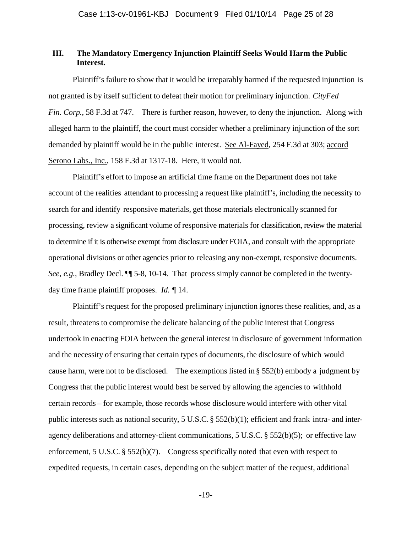## **III. The Mandatory Emergency Injunction Plaintiff Seeks Would Harm the Public Interest.**

Plaintiff's failure to show that it would be irreparably harmed if the requested injunction is not granted is by itself sufficient to defeat their motion for preliminary injunction. *CityFed Fin. Corp.*, 58 F.3d at 747. There is further reason, however, to deny the injunction. Along with alleged harm to the plaintiff, the court must consider whether a preliminary injunction of the sort demanded by plaintiff would be in the public interest. See Al-Fayed, 254 F.3d at 303; accord Serono Labs., Inc., 158 F.3d at 1317-18. Here, it would not.

Plaintiff's effort to impose an artificial time frame on the Department does not take account of the realities attendant to processing a request like plaintiff's, including the necessity to search for and identify responsive materials, get those materials electronically scanned for processing, review a significant volume of responsive materials for classification, review the material to determine if it is otherwise exempt from disclosure under FOIA, and consult with the appropriate operational divisions or other agencies prior to releasing any non-exempt, responsive documents. *See, e.g.*, Bradley Decl.  $\P$  5-8, 10-14. That process simply cannot be completed in the twentyday time frame plaintiff proposes. *Id. ¶* 14.

Plaintiff's request for the proposed preliminary injunction ignores these realities, and, as a result, threatens to compromise the delicate balancing of the public interest that Congress undertook in enacting FOIA between the general interest in disclosure of government information and the necessity of ensuring that certain types of documents, the disclosure of which would cause harm, were not to be disclosed. The exemptions listed in § 552(b) embody a judgment by Congress that the public interest would best be served by allowing the agencies to withhold certain records – for example, those records whose disclosure would interfere with other vital public interests such as national security, 5 U.S.C. § 552(b)(1); efficient and frank intra- and interagency deliberations and attorney-client communications, 5 U.S.C. § 552(b)(5); or effective law enforcement, 5 U.S.C. § 552(b)(7). Congress specifically noted that even with respect to expedited requests, in certain cases, depending on the subject matter of the request, additional

-19-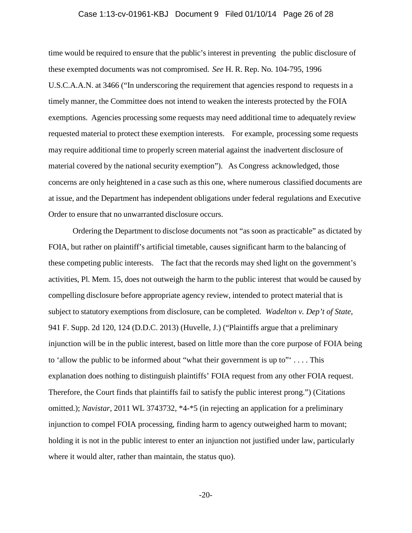#### Case 1:13-cv-01961-KBJ Document 9 Filed 01/10/14 Page 26 of 28

time would be required to ensure that the public's interest in preventing the public disclosure of these exempted documents was not compromised. *See* H. R. Rep. No. 104-795, 1996 U.S.C.A.A.N. at 3466 ("In underscoring the requirement that agencies respond to requests in a timely manner, the Committee does not intend to weaken the interests protected by the FOIA exemptions. Agencies processing some requests may need additional time to adequately review requested material to protect these exemption interests. For example, processing some requests may require additional time to properly screen material against the inadvertent disclosure of material covered by the national security exemption"). As Congress acknowledged, those concerns are only heightened in a case such as this one, where numerous classified documents are at issue, and the Department has independent obligations under federal regulations and Executive Order to ensure that no unwarranted disclosure occurs.

Ordering the Department to disclose documents not "as soon as practicable" as dictated by FOIA, but rather on plaintiff's artificial timetable, causes significant harm to the balancing of these competing public interests. The fact that the records may shed light on the government's activities, Pl. Mem. 15, does not outweigh the harm to the public interest that would be caused by compelling disclosure before appropriate agency review, intended to protect material that is subject to statutory exemptions from disclosure, can be completed. *Wadelton v. Dep't of State*, 941 F. Supp. 2d 120, 124 (D.D.C. 2013) (Huvelle, J.) ("Plaintiffs argue that a preliminary injunction will be in the public interest, based on little more than the core purpose of FOIA being to 'allow the public to be informed about "what their government is up to" $\ldots$ . This explanation does nothing to distinguish plaintiffs' FOIA request from any other FOIA request. Therefore, the Court finds that plaintiffs fail to satisfy the public interest prong.") (Citations omitted.); *Navistar*, 2011 WL 3743732, \*4-\*5 (in rejecting an application for a preliminary injunction to compel FOIA processing, finding harm to agency outweighed harm to movant; holding it is not in the public interest to enter an injunction not justified under law, particularly where it would alter, rather than maintain, the status quo).

-20-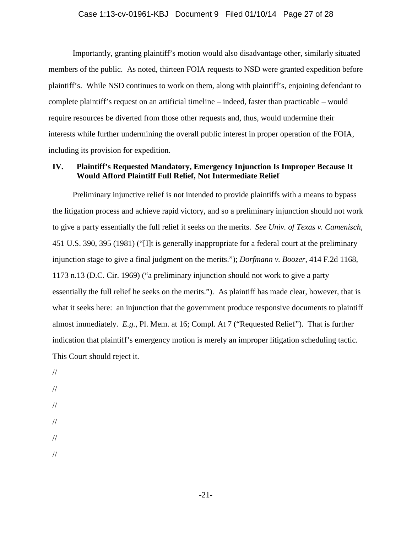#### Case 1:13-cv-01961-KBJ Document 9 Filed 01/10/14 Page 27 of 28

Importantly, granting plaintiff's motion would also disadvantage other, similarly situated members of the public. As noted, thirteen FOIA requests to NSD were granted expedition before plaintiff's. While NSD continues to work on them, along with plaintiff's, enjoining defendant to complete plaintiff's request on an artificial timeline – indeed, faster than practicable – would require resources be diverted from those other requests and, thus, would undermine their interests while further undermining the overall public interest in proper operation of the FOIA, including its provision for expedition.

## **IV. Plaintiff's Requested Mandatory, Emergency Injunction Is Improper Because It Would Afford Plaintiff Full Relief, Not Intermediate Relief**

Preliminary injunctive relief is not intended to provide plaintiffs with a means to bypass the litigation process and achieve rapid victory, and so a preliminary injunction should not work to give a party essentially the full relief it seeks on the merits. *See Univ. of Texas v. Camenisch*, 451 U.S. 390, 395 (1981) ("[I]t is generally inappropriate for a federal court at the preliminary injunction stage to give a final judgment on the merits."); *Dorfmann v. Boozer*, 414 F.2d 1168, 1173 n.13 (D.C. Cir. 1969) ("a preliminary injunction should not work to give a party essentially the full relief he seeks on the merits."). As plaintiff has made clear, however, that is what it seeks here: an injunction that the government produce responsive documents to plaintiff almost immediately. *E.g.,* Pl. Mem. at 16; Compl. At 7 ("Requested Relief"). That is further indication that plaintiff's emergency motion is merely an improper litigation scheduling tactic. This Court should reject it.

// // // // // //